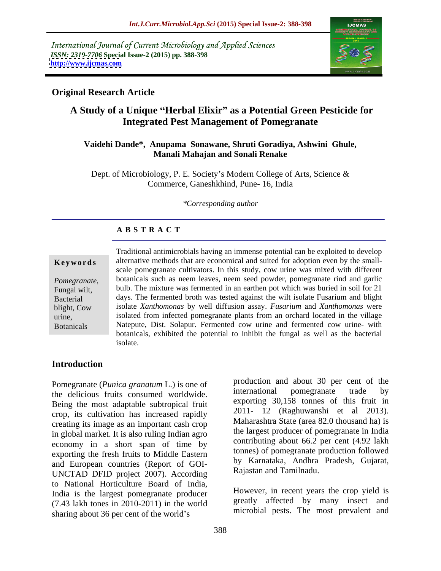International Journal of Current Microbiology and Applied Sciences *ISSN: 2319-7706* **Special Issue-2 (2015) pp. 388-398 <http://www.ijcmas.com>**



# **Original Research Article**

# **A Study of a Unique Herbal Elixir as a Potential Green Pesticide for Integrated Pest Management of Pomegranate**

### **Vaidehi Dande\*, Anupama Sonawane, Shruti Goradiya, Ashwini Ghule, Manali Mahajan and Sonali Renake**

Dept. of Microbiology, P. E. Society's Modern College of Arts, Science & Commerce, Ganeshkhind, Pune- 16, India

*\*Corresponding author*

## **A B S T R A C T**

Botanicals

Traditional antimicrobials having an immense potential can be exploited to develop alternative methods that are economical and suited for adoption even by the small- **Ke ywo rds** scale pomegranate cultivators. In this study, cow urine was mixed with different botanicals such as neem leaves, neem seed powder, pomegranate rind and garlic *Pomegranate*, botanicals such as neem leaves, neem seed powder, pomegranate rind and garlic<br>Fungal wilt, bulb. The mixture was fermented in an earthen pot which was buried in soil for 21 days. The fermented broth was tested against the wilt isolate Fusarium and blight Bacterial isolate *Xanthomonas* by well diffusion assay. *Fusarium* and *Xanthomonas* were blight, Cow isolated from infected pomegranate plants from an orchard located in the village urine, Natepute, Dist. Solapur. Fermented cow urine and fermented cow urine- with botanicals, exhibited the potential to inhibit the fungal as well as the bacterial isolate.

# **Introduction**

Pomegranate (*Punica granatum* L.) is one of the delicious fruits consumed worldwide international pomegranate trade by the delicious fruits consumed worldwide. Being the most adaptable subtropical fruit crop, its cultivation has increased rapidly creating its image as an important cash crop in global market. It is also ruling Indian agro economy in a short span of time by exporting the fresh fruits to Middle Eastern and European countries (Report of GOI-<br>INCTAD DEID project 2007) According Rajastan and Tamilnadu. UNCTAD DFID project 2007). According to National Horticulture Board of India, India is the largest pomegranate producer (7.43 lakh tones in 2010-2011) in the world sharing about 36 per cent of the world's

production and about 30 per cent of the international pomegranate trade by exporting 30,158 tonnes of this fruit in 2011- 12 (Raghuwanshi et al 2013). Maharashtra State (area 82.0 thousand ha) is the largest producer of pomegranate in India contributing about 66.2 per cent (4.92 lakh tonnes) of pomegranate production followed by Karnataka, Andhra Pradesh, Gujarat,

Rajastan and Tamilnadu. However, in recent years the crop yield is greatly affected by many insect and microbial pests. The most prevalent and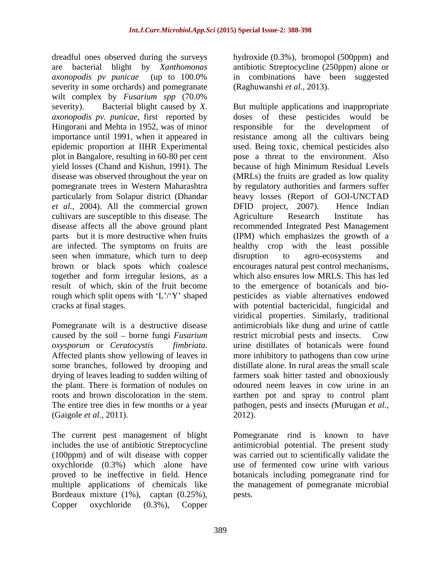dreadful ones observed during the surveys hydroxide (0.3%), bromopol (500ppm) and are bacterial blight by *Xanthomonas* antibiotic Streptocycline (250ppm) alone or *axonopodis pv punicae* (up to 100.0% severity in some orchards) and pomegranate wilt complex by *Fusarium spp* (70.0% *axonopodis pv. punicae*, first reported by Hingorani and Mehta in 1952, was of minor plot in Bangalore, resulting in 60-80 per cent *et al.,* 2004). All the commercial grown cultivars are susceptible to this disease. The seen when immature, which turn to deep disruption to agro-ecosystems and together and form irregular lesions, as a

Pomegranate wilt is a destructive disease caused by the soil – borne fungi *Fusarium* restrict microbial pests and insects. Cow *oxysporum* or *Ceratocystis fimbriata*. urine distillates of botanicals were found some branches, followed by drooping and drying of leaves leading to sudden wilting of (Gaigole *et al.,* 2011).

The current pest management of blight<br>includes the use of antibiotic Streptocycline oxychloride (0.3%) which alone have Bordeaux mixture (1%), captan (0.25%), Copper oxychloride (0.3%), Copper

in combinations have been suggested (Raghuwanshi *et al.,* 2013).

severity). Bacterial blight caused by *X.*  But multiple applications and inappropriate importance until 1991, when it appeared in resistance among all the cultivars being epidemic proportion at IIHR Experimental used. Being toxic, chemical pesticides also yield losses (Chand and Kishun, 1991). The because of high Minimum Residual Levels disease was observed throughout the year on (MRLs) the fruits are graded as low quality pomegranate trees in Western Maharashtra by regulatory authorities and farmers suffer particularly from Solapur district (Dhandar heavy losses (Report of GOI-UNCTAD disease affects all the above ground plant recommended Integrated Pest Management parts but it is more destructive when fruits (IPM) which emphasizes the growth of a are infected. The symptoms on fruits are healthy crop with the least possible brown or black spots which coalesce encourages natural pest control mechanisms, result of which, skin of the fruit become to the emergence of botanicals and bio rough which split opens with 'L'/'Y' shaped pesticides as viable alternatives endowed cracks at final stages. with potential bactericidal, fungicidal and *oxysporum* or *Ceratocystis fimbriata*. urine distillates of botanicals were found<br>Affected plants show yellowing of leaves in more inhibitory to pathogens than cow urine the plant. There is formation of nodules on odoured neem leaves in cow urine in an roots and brown discoloration in the stem. earthen pot and spray to control plant The entire tree dies in few months or a year pathogen, pests and insects (Murugan *et al.,* doses of these pesticides would responsible for the development of pose a threat to the environment. Also DFID project, 2007). Hence Indian Agriculture Research Institute has disruption to agro-ecosystems and which also ensures low MRLS. This has led viridical properties. Similarly, traditional antimicrobials like dung and urine of cattle restrict microbial pests and insects. Cow urine distillates of botanicals were found more inhibitory to pathogens than cow urine distillate alone. In rural areas the small scale farmers soak bitter tasted and obnoxiously 2012).

includes the use of antibiotic Streptocycline antimicrobial potential. The present study (100ppm) and of wilt disease with copper was carried out to scientifically validate the proved to be ineffective in field. Hence botanicals including pomegranate rind for multiple applications of chemicals like the management of pomegranate microbial Pomegranate rind is known to have use of fermented cow urine with various pests.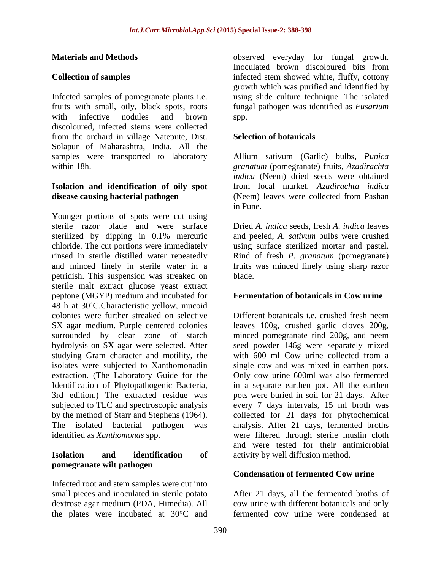Infected samples of pomegranate plants i.e. fruits with small, oily, black spots, roots fungal pathogen was identified as *Fusarium* with infective nodules and brown spp. discoloured, infected stems were collected from the orchard in village Natepute, Dist. Solapur of Maharashtra, India. All the samples were transported to laboratory Allium sativum (Garlic) bulbs, *Punica*  within 18h. *granatum* (pomegranate) fruits, *Azadirachta* 

## **Isolation and identification of oily spot disease causing bacterial pathogen** (Neem) leaves were collected from Pashan

Younger portions of spots were cut using sterile razor blade and were surface Dried *A. indica* seeds, fresh *A. indica* leaves sterilized by dipping in 0.1% mercuric and peeled, A. sativum bulbs were crushed chloride. The cut portions were immediately using surface sterilized mortar and pastel. rinsed in sterile distilled water repeatedly Rind of fresh *P. granatum* (pomegranate) and minced finely in sterile water in a fruits was minced finely using sharp razor petridish. This suspension was streaked on sterile malt extract glucose yeast extract peptone (MGYP) medium and incubated for 48 h at 30°C.Characteristic yellow, mucoid colonies were further streaked on selective SX agar medium. Purple centered colonies leaves 100g, crushed garlic cloves 200g, surrounded by clear zone of starch minced pomegranate rind 200g, and neem hydrolysis on SX agar were selected. After seed powder 146g were separately mixed studying Gram character and motility, the with 600 ml Cow urine collected from a isolates were subjected to Xanthomonadin single cow and was mixed in earthen pots. isolates were subjected to Xanthomonadin single cow and was mixed in earthen pots. extraction. (The Laboratory Guide for the Only cow urine 600ml was also fermented Identification of Phytopathogenic Bacteria, in a separate earthen pot. All the earthen 3rd edition.) The extracted residue was pots were buried in soil for 21 days. After subjected to TLC and spectroscopic analysis every 7 days intervals, 15 ml broth was by the method of Starr and Stephens (1964). collected for 21 days for phytochemical<br>The isolated bacterial pathogen was analysis. After 21 days, fermented broths

## **Isolation and identification of** activity by well diffusion method. **pomegranate wilt pathogen**

Infected root and stem samples were cut into the plates were incubated at 30°C and fermented cow urine were condensed at

**Materials and Methods**  observed everyday for fungal growth. **Collection of samples infected stem showed white, fluffy, cottony** Inoculated brown discoloured bits from growth which was purified and identified by using slide culture technique. The isolated spp.

### **Selection of botanicals**

*indica* (Neem) dried seeds were obtained from local market. *Azadirachta indica* (Neem) leaves were collected from Pashan in Pune.

and peeled, *A. sativum* bulbs were crushed blade.

## **Fermentation of botanicals in Cow urine**

identified as *Xanthomonas* spp. were filtered through sterile muslin cloth Different botanicals i.e. crushed fresh neem with 600 ml Cow urine collected from a collected for 21 days for phytochemical analysis. After 21 days, fermented broths and were tested for their antimicrobial

## **Condensation of fermented Cow urine**

small pieces and inoculated in sterile potato After 21 days, all the fermented broths of dextrose agar medium (PDA, Himedia). All cow urine with different botanicals and only fermented cow urine were condensed at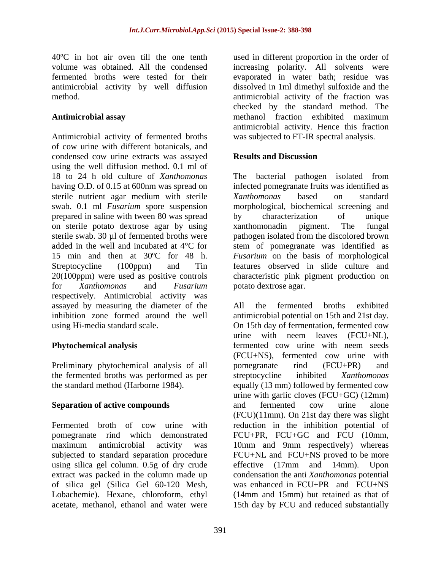Antimicrobial activity of fermented broths of cow urine with different botanicals, and condensed cow urine extracts was assayed using the well diffusion method. 0.1 ml of 18 to 24 h old culture of *Xanthomonas* having O.D. of 0.15 at 600nm was spread on infected pomegranate fruits was identified as sterile nutrient agar medium with sterile Xanthomonas based on standard swab. 0.1 ml *Fusarium* spore suspension morphological, biochemical screening and prepared in saline with tween 80 was spread by characterization of unique on sterile potato dextrose agar by using sterile swab. 30 µl of fermented broths were pathogen isolated from the discolored brown added in the well and incubated at 4°C for stem of pomegranate was identified as 15 min and then at 30ºC for 48 h. *Fusarium* on the basis of morphological Streptocycline (100ppm) and Tin features observed in slide culture and 20(100ppm) were used as positive controls characteristic pink pigment production on for *Xanthomonas* and *Fusarium* respectively. Antimicrobial activity was assayed by measuring the diameter of the

Preliminary phytochemical analysis of all pomegranate rind (FCU+PR) and the fermented broths was performed as per streptocycline inhibited Xanthomonas

using silica gel column. 0.5g of dry crude effective (17mm and 14mm). Upon extract was packed in the column made up of silica gel (Silica Gel 60-120 Mesh, acetate, methanol, ethanol and water were 15th day by FCU and reduced substantially

40ºC in hot air oven till the one tenth used in different proportion in the order of volume was obtained. All the condensed increasing polarity. All solvents were fermented broths were tested for their evaporated in water bath; residue was antimicrobial activity by well diffusion dissolved in 1ml dimethyl sulfoxide and the method. antimicrobial activity of the fraction was Antimicrobial assay **antimicrobial assay** *Antimicrobial assay Antimicrobial assay Antimicrobial assay**Antimicrobial assay**Antimicrobial assay**Antimicrobial assay**Antimicrobial assay**Antimicrobial assay* checked by the standard method. The methanol fraction exhibited maximum antimicrobial activity. Hence this fraction was subjected to FT-IR spectral analysis.

# **Results and Discussion**

The bacterial pathogen isolated from *Xanthomonas* based on standard by characterization of unique xanthomonadin pigment. The fungal potato dextrose agar.

inhibition zone formed around the well antimicrobial potential on 15th and 21st day. using Hi-media standard scale. On 15th day of fermentation, fermented cow **Phytochemical analysis**  fermented cow urine with neem seeds the standard method (Harborne 1984). equally (13 mm) followed by fermented cow **Separation of active compounds** and fermented cow urine alone Fermented broth of cow urine with reduction in the inhibition potential of pomegranate rind which demonstrated FCU+PR, FCU+GC and FCU (10mm, maximum antimicrobial activity was 10mm and 9mm respectively) whereas subjected to standard separation procedure FCU+NL and FCU+NS proved to be more Lobachemie). Hexane, chloroform, ethyl (14mm and 15mm) but retained as that of All the fermented broths exhibited urine with neem leaves (FCU+NL), (FCU+NS), fermented cow urine with pomegranate rind (FCU+PR) and streptocycline inhibited *Xanthomonas* urine with garlic cloves (FCU+GC) (12mm) and fermented cow urine alone (FCU)(11mm). On 21st day there was slight effective (17mm and 14mm). Upon condensation the anti *Xanthomonas* potential was enhanced in FCU+PR and FCU+NS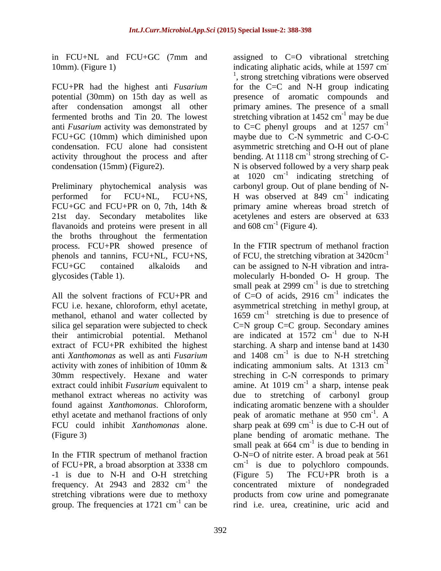in FCU+NL and FCU+GC (7mm and assigned to C=O vibrational stretching

Preliminary phytochemical analysis was performed for FCU+NL, FCU+NS, H was observed at 849 cm<sup>-1</sup> indicating flavanoids and proteins were present in all and  $608 \text{ cm}^{-1}$  (Figure 4). the broths throughout the fermentation process. FCU+PR showed presence of In the FTIR spectrum of methanol fraction

anti *Xanthomonas* as well as anti *Fusarium* 30mm respectively. Hexane and water

In the FTIR spectrum of methanol fraction -1 is due to N-H and O-H stretching (Figure 5) The FCU+PR broth is a group. The frequencies at  $1721 \text{ cm}^{-1}$  can be

10mm). (Figure 1) indicating aliphatic acids, while at 1597 cm FCU+PR had the highest anti *Fusarium* for the C=C and N-H group indicating potential (30mm) on 15th day as well as presence of aromatic compounds and after condensation amongst all other primary amines. The presence of a small fermented broths and Tin 20. The lowest stretching vibration at  $1452 \text{ cm}^{-1}$  may be due anti *Fusarium* activity was demonstrated by  $\qquad \qquad$  to C=C phenyl groups and at 1257 cm<sup>-1</sup> FCU+GC (10mm) which diminished upon maybe due to C-N symmetric and C-O-C condensation. FCU alone had consistent asymmetric stretching and O-H out of plane activity throughout the process and after bending. At  $1118 \text{ cm}^{-1}$  strong streching of Ccondensation (15mm) (Figure2). N is observed followed by a very sharp peak FCU+GC and FCU+PR on 0, 7th, 14th & primary amine whereas broad stretch of 21st day. Secondary metabolites like acetylenes and esters are observed at 633 1990 - Andrew March 1990<br>1990 - Andrew March 1990 <sup>1</sup>, strong stretching vibrations were observed  $^{-1}$  may be due -1 at  $1020 \text{ cm}^{-1}$  indicating stretching of indicating stretching of carbonyl group. Out of plane bending of N- H was observed at  $849 \text{ cm}^{-1}$  indicating  $^{-1}$  indicating indicating and  $608 \text{ cm}^{-1}$  (Figure 4).

phenols and tannins, FCU+NL, FCU+NS, of FCU, the stretching vibration at 3420cm<sup>-1</sup> FCU+GC contained alkaloids and can be assigned to N-H vibration and intra glycosides (Table 1). molecularly H-bonded O- H group. The All the solvent fractions of  $FCU+PR$  and of  $C=O$  of acids, 2916 cm<sup>-1</sup> indicates the FCU i.e. hexane, chloroform, ethyl acetate, asymmetrical stretching in methyl group, at methanol, ethanol and water collected by  $1659 \text{ cm}^{-1}$  stretching is due to presence of silica gel separation were subjected to check  $C=N$  group  $C=C$  group. Secondary amines their antimicrobial potential. Methanol are indicated at 1572 cm<sup>-1</sup> due to N-H extract of FCU+PR exhibited the highest starching. A sharp and intense band at 1430 activity with zones of inhibition of 10mm  $\&$  indicating ammonium salts. At 1313 cm<sup>-1</sup> extract could inhibit *Fusarium* equivalent to amine. At 1019 cm<sup>-1</sup> a sharp, intense peak methanol extract whereas no activity was due to stretching of carbonyl group found against *Xanthomonas*. Chloroform, indicating aromatic benzene with a shoulder ethyl acetate and methanol fractions of only  $\qquad$  peak of aromatic methane at 950 cm<sup>-1</sup>. A FCU could inhibit *Xanthomonas* alone. Sharp peak at 699 cm<sup>-1</sup> is due to C-H out of (Figure 3) plane bending of aromatic methane. The of FCU+PR, a broad absorption at 3338 cm  $cm^{-1}$  is due to polychloro compounds. frequency. At 2943 and 2832 cm<sup>-1</sup> the concentrated mixture of nondegraded <sup>-1</sup> the concentrated mixture of nondegraded stretching vibrations were due to methoxy products from cow urine and pomegranate <sup>-1</sup> can be rind i.e. urea, creatinine, uric acid and and 608 cm<sup>-1</sup> (Figure 4).<br>In the FTIR spectrum of methanol fraction -1 small peak at 2999  $cm^{-1}$  is due to stretching is due to stretching  $^{-1}$  indicates the indicates the  $^{-1}$  due to N H due to N-H and  $1408$  cm<sup>-1</sup> is due to N-H stretching is due to N-H stretching -1 streching in C-N corresponds to primary a sharp, intense peak  $-1$   $\Lambda$ . A is due to C-H out of small peak at  $664 \text{ cm}^{-1}$  is due to bending in is due to bending in O-N=O of nitrite ester. A broad peak at 561 (Figure 5) The FCU+PR broth is a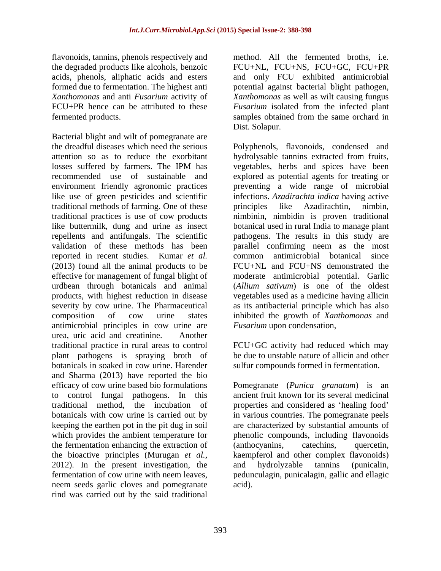flavonoids, tannins, phenols respectively and the degraded products like alcohols, benzoic acids, phenols, aliphatic acids and esters formed due to fermentation. The highest anti potential against bacterial blight pathogen, *Xanthomonas* and anti *Fusarium* activity of *Xanthomonas* as well as wilt causing fungus FCU+PR hence can be attributed to these *Fusarium* isolated from the infected plant fermented products. samples obtained from the same orchard in

Bacterial blight and wilt of pomegranate are the dreadful diseases which need the serious Polyphenols, flavonoids, condensed and attention so as to reduce the exorbitant hydrolysable tannins extracted from fruits, losses suffered by farmers. The IPM has vegetables, herbs and spices have been recommended use of sustainable and explored as potential agents for treating or environment friendly agronomic practices preventing a wide range of microbial like use of green pesticides and scientific infections. *Azadirachta indica* having active traditional methods of farming. One of these traditional practices is use of cow products nimbinin, nimbidin is proven traditional like buttermilk, dung and urine as insect botanical used in rural India to manage plant repellents and antifungals. The scientific pathogens. The results in this study are validation of these methods has been parallel confirming neem as the most reported in recent studies. Kumar *et al.* (2013) found all the animal products to be effective for management of fungalblight of moderate antimicrobial potential. Garlic urdbean through botanicals and animal (*Allium sativum*) is one of the oldest products, with highest reduction in disease vegetables used as a medicine having allicin severity by cow urine. The Pharmaceutical as its antibacterial principle which has also composition of cow urine states inhibited the growth of *Xanthomonas* and antimicrobial principles in cow urine are *Fusarium* upon condensation, urea, uric acid and creatinine. Another traditional practice in rural areas to control FCU+GC activity had reduced which may plant pathogens is spraying broth of botanicals in soaked in cow urine. Harender botanicals in soaked in cow urine. Harender sulfur compounds formed in fermentation. and Sharma (2013) have reported the bio efficacy of cow urine based bio formulations Pomegranate (*Punica granatum*) is an to control fungal pathogens. In this traditional method, the incubation of properties and considered as 'healing food' botanicals with cow urine is carried out by in various countries. The pomegranate peels keeping the earthen pot in the pit dug in soil which provides the ambient temperature for ephenolic compounds, including flavonoids the fermentation enhancing the extraction of (anthocyanins, catechins, quercetin, the bioactive principles (Murugan *et al.,* kaempferol and other complex flavonoids) 2012). In the present investigation, the and hydrolyzable tanning (punicalin, fermentation of cow urine with neem leaves, pedunculagin, punicalagin, gallic and ellagic neem seeds garlic cloves and pomegranate rind was carried out by the said traditional

method. All the fermented broths, i.e. FCU+NL, FCU+NS, FCU+GC, FCU+PR and only FCU exhibited antimicrobial Dist. Solapur.

vegetables, herbs and spices have been principles like Azadirachtin, nimbin, common antimicrobial botanical since FCU+NL and FCU+NS demonstrated the *Fusarium* upon condensation,

be due to unstable nature of allicin and other

ancient fruit known for its several medicinal are characterized by substantial amounts of (anthocyanins, catechins, quercetin, and hydrolyzable tannins (punicalin, acid).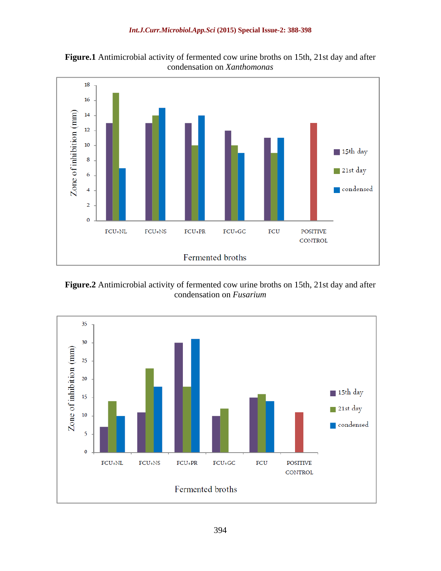**Figure.1** Antimicrobial activity of fermented cow urine broths on 15th, 21st day and after condensation on *Xanthomonas*



**Figure.2** Antimicrobial activity of fermented cow urine broths on 15th, 21st day and after condensation on *Fusarium*

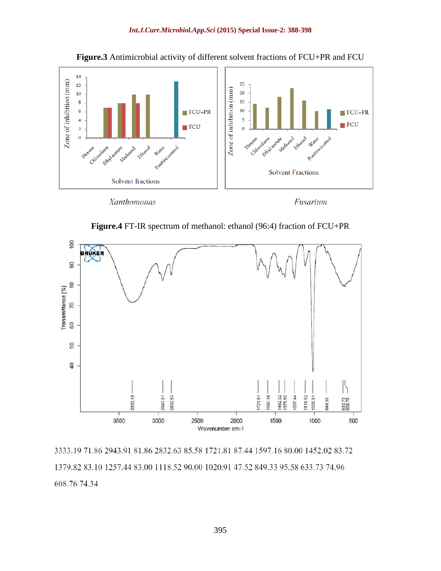



**Figure.4** FT-IR spectrum of methanol: ethanol (96:4) fraction of FCU+PR



3333.19 71.86 2943.91 81.86 2832.63 85.58 1721.81 87.44 1597.16 80.00 1452.02 83.72 1379.82 83.10 1257.44 83.00 1118.52 90.00 1020.91 47.52 849.33 95.58 633.73 74.96 608.76 74.34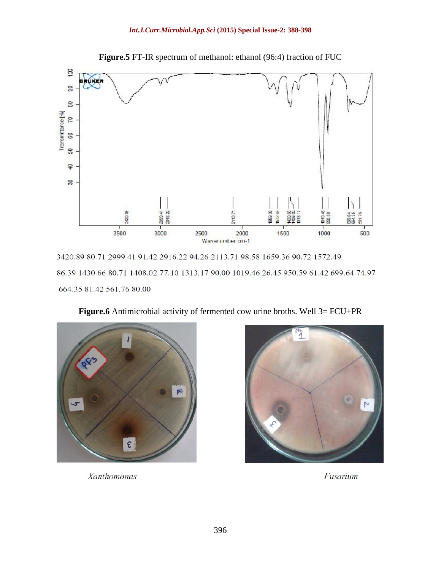

**Figure.5** FT-IR spectrum of methanol: ethanol (96:4) fraction of FUC

3420.89 80.71 2999.41 91.42 2916.22 94.26 2113.71 98.58 1659.36 90.72 1572.49 86.39 1430.66 80.71 1408.02 77.10 1313.17 90.00 1019.46 26.45 950.59 61.42 699.64 74.97 664.35 81.42 561.76 80.00



**Figure.6** Antimicrobial activity of fermented cow urine broths. Well 3= FCU+PR



Fusarium

Xanthomonas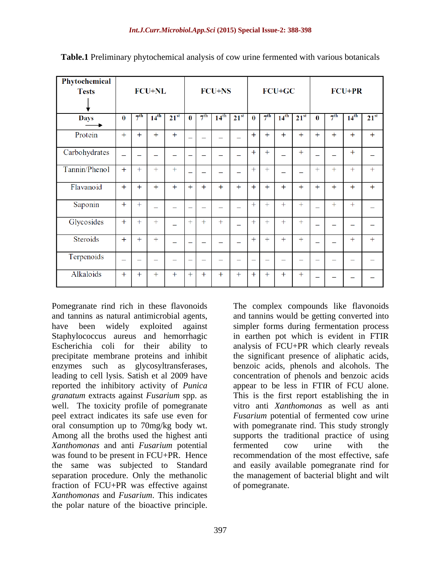| Phytochemical   |                          |                 |           |               |                          |                 |           |           |                          |                          |                          |           |                          |                 |                  |           |
|-----------------|--------------------------|-----------------|-----------|---------------|--------------------------|-----------------|-----------|-----------|--------------------------|--------------------------|--------------------------|-----------|--------------------------|-----------------|------------------|-----------|
| <b>Tests</b>    | <b>FCU+NL</b>            |                 |           | <b>FCU+NS</b> |                          |                 |           | FCU+GC    |                          |                          |                          | $FCU+PR$  |                          |                 |                  |           |
|                 |                          |                 |           |               |                          |                 |           |           |                          |                          |                          |           |                          |                 |                  |           |
| <b>Days</b>     | $\bf{0}$                 | 7 <sup>th</sup> | $14^{th}$ | $21^{st}$     | $\mathbf{0}$             | 7 <sup>th</sup> | $14^{th}$ | $21^{st}$ | $\bf{0}$                 | 7 <sup>th</sup>          | $14^{th}$                | $21^{st}$ | $\bf{0}$                 | 7 <sup>th</sup> | $14^{\text{th}}$ | $21^{st}$ |
| Protein         | $+$                      | $+$             | $+$       | $+$           |                          |                 |           |           | $+$                      | $+$                      | $+$                      | $+$       | $+$                      | $+$             | $+$              | $+$       |
| Carbohydrates   |                          |                 |           |               | $\overline{\phantom{0}}$ |                 |           |           | $+$                      | $+$                      |                          | $+$       | $\overline{\phantom{0}}$ |                 | $+$              |           |
| Tannin/Phenol   | $+$                      | $+$             | $+$       | $+$           |                          |                 |           | -         | $+$                      | $+$                      |                          |           | $+$                      | $+$             | $+$              | $+$       |
| Flavanoid       | $+$                      | $+$             | $+$       | $+$           | $+$                      | $+$             | $+$       | $+$       | $+$                      | $+$                      | $+$                      | $+$       | $+$                      | $+$             | $+$              | $+$       |
| Saponin         | $+$                      | $+$             |           |               | -                        |                 |           |           | $+$                      | $+$                      | $+$                      | $+$       |                          | $+$             | $+$              |           |
| Glycosides      | $+$                      | $+$             | $+$       |               | $+$                      | $+$             | $+$       |           | $+$                      | $+$                      | $+$                      | $+$       |                          |                 |                  |           |
| <b>Steroids</b> | $+$                      | $+$             | $+$       |               | $\sim$                   |                 |           |           | $+$                      | $+$                      | $+$                      | $+$       |                          |                 | $+$              | $+$       |
| Terpenoids      | $\overline{\phantom{0}}$ | -               | -         | -             |                          | -               | -         | -         | $\overline{\phantom{0}}$ | $\overline{\phantom{0}}$ | $\overline{\phantom{0}}$ | -         | $\overline{\phantom{0}}$ |                 | -                |           |
| Alkaloids       | $+$                      | $+$             | $+$       | $+$           | $+$                      | $+$             | $+$       | $^{+}$    | $+$                      | $+$                      | $+$                      | $^{+}$    |                          |                 |                  |           |

**Table.1** Preliminary phytochemical analysis of cow urine fermented with various botanicals

Pomegranate rind rich in these flavonoids The complex compounds like flavonoids reported the inhibitory activity of *Punica granatum* extracts against *Fusarium* spp. as well. The toxicity profile of pomegranate Among all the broths used the highest anti *Xanthomonas* and anti *Fusarium* potential was found to be present in FCU+PR. Hence fraction of FCU+PR was effective against *Xanthomonas* and *Fusarium*. This indicates Pomegranate rind rich in these flavonoids<br>
and tannins as natural antimicrobial agents,<br>
and tannins would be getting converted into<br>
have been widely exploited against<br>
simpler forms during fermentation process<br>
Slaphylo

and tannins as natural antimicrobial agents, and tannins would be getting converted into have been widely exploited against simpler forms during fermentation process Staphylococcus aureus and hemorrhagic in earthen pot which is evident in FTIR Escherichia coli for their ability to analysis of FCU+PR which clearly reveals precipitate membrane proteins and inhibit the significant presence of aliphatic acids, enzymes such as glycosyltransferases, benzoic acids, phenols and alcohols. The leading to cell lysis. Satish et al 2009 have concentration of phenols and benzoic acids peel extract indicates its safe use even for *Fusarium* potential of fermented cow urine oral consumption up to 70mg/kg body wt. with pomegranate rind. This study strongly the same was subjected to Standard and easily available pomegranate rind for separation procedure. Only the methanolic the management of bacterial blight and wilt appear to be less in FTIR of FCU alone. This is the first report establishing the in vitro anti *Xanthomonas* as well as anti supports the traditional practice of using fermented cow urine with the recommendation of the most effective, safe of pomegranate.